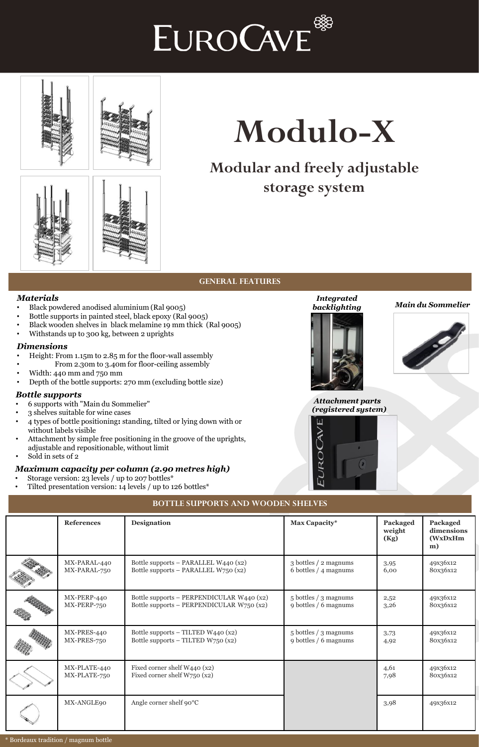



### **Modular and freely adjustable storage system**



#### **GENERAL FEATURES**

#### *Materials*

- Black powdered anodised aluminium (Ral 9005)
- Bottle supports in painted steel, black epoxy (Ral 9005)
- Black wooden shelves in black melamine 19 mm thick (Ral 9005)
- Withstands up to 300 kg, between 2 uprights

#### *Dimensions*

- Height: From 1.15m to 2.85 m for the floor-wall assembly
- From 2.30m to 3.40m for floor-ceiling assembly
- Width: 440 mm and 750 mm
- Depth of the bottle supports: 270 mm (excluding bottle size)

#### *Bottle supports*

- 6 supports with "Main du Sommelier"
- 3 shelves suitable for wine cases
- 4 types of bottle positioning**:** standing, tilted or lying down with or without labels visible
- Attachment by simple free positioning in the groove of the uprights, adjustable and repositionable, without limit
- Sold in sets of 2

#### *Maximum capacity per column (2.90 metres high)*

- Storage version: 23 levels / up to 207 bottles\*
- Tilted presentation version: 14 levels / up to 126 bottles\*



*Integrated* 

#### *backlighting Main du Sommelier*



#### *Attachment parts*   $(registe$



| nent parts  |  |  |  |
|-------------|--|--|--|
| red system) |  |  |  |
|             |  |  |  |

# **BOTTLE SUPPORTS AND WOODEN SHELVES**

| <b>References</b>            | Designation                                                                            | Max Capacity*                                  | Packaged<br>weight<br>(Kg) | Packaged<br>dimensions<br>(WxDxHm<br>m) |
|------------------------------|----------------------------------------------------------------------------------------|------------------------------------------------|----------------------------|-----------------------------------------|
| MX-PARAL-440<br>MX-PARAL-750 | Bottle supports - PARALLEL W440 (x2)<br>Bottle supports - PARALLEL W750 (x2)           | 3 bottles / 2 magnums<br>6 bottles / 4 magnums | 3,95<br>6,00               | 49x36x12<br>80x36x12                    |
| MX-PERP-440<br>MX-PERP-750   | Bottle supports - PERPENDICULAR W440 (x2)<br>Bottle supports - PERPENDICULAR W750 (x2) | 5 bottles / 3 magnums<br>9 bottles / 6 magnums | 2,52<br>3,26               | 49x36x12<br>80x36x12                    |
| MX-PRES-440<br>MX-PRES-750   | Bottle supports $-$ TILTED W440 (x2)<br>Bottle supports $-$ TILTED W750 $(x2)$         | 5 bottles / 3 magnums<br>9 bottles / 6 magnums | 3,73<br>4,92               | 49x36x12<br>80x36x12                    |
| MX-PLATE-440<br>MX-PLATE-750 | Fixed corner shelf W440 (x2)<br>Fixed corner shelf W750 (x2)                           |                                                | 4,61<br>7,98               | 49x36x12<br>80x36x12                    |
| MX-ANGLE90                   | Angle corner shelf $90^{\circ}$ C                                                      |                                                | 3,98                       | 49x36x12                                |